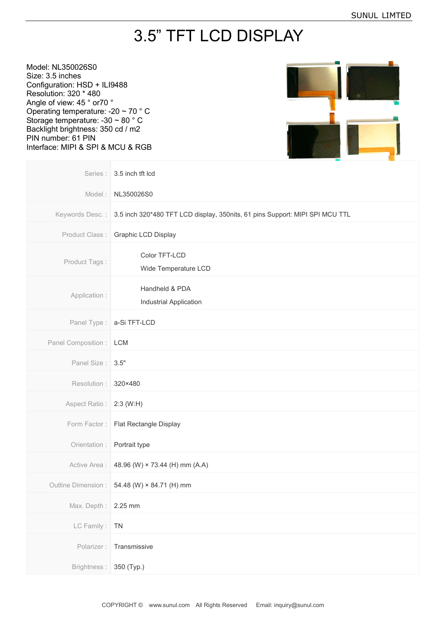## 3.5" TFT LCD DISPLAY

Model: NL350026S0 Size: 3.5 inches Configuration: HSD + ILI9488 Resolution: 320 \* 480 Angle of view: 45 ° or70 ° Operating temperature: -20 ~ 70 ° C Storage temperature: -30 ~ 80 ° C Backlight brightness: 350 cd / m2 PIN number: 61 PIN Interface: MIPI & SPI & MCU & RGB

| Series: 3.5 inch tft lcd                                                                     |
|----------------------------------------------------------------------------------------------|
| Model: NL350026S0                                                                            |
| Keywords Desc.: 3.5 inch 320*480 TFT LCD display, 350nits, 61 pins Support: MIPI SPI MCU TTL |
| Graphic LCD Display                                                                          |
| Color TFT-LCD<br>Wide Temperature LCD                                                        |
| Handheld & PDA<br>Industrial Application                                                     |
| Panel Type : a-Si TFT-LCD                                                                    |
| <b>LCM</b>                                                                                   |
| Panel Size: 3.5"                                                                             |
| 320×480                                                                                      |
| Aspect Ratio: 2:3 (W:H)                                                                      |
| Form Factor: Flat Rectangle Display                                                          |
| Portrait type                                                                                |
| Active Area: 48.96 (W) × 73.44 (H) mm (A.A)                                                  |
| Outline Dimension: 54.48 (W) × 84.71 (H) mm                                                  |
| Max. Depth: 2.25 mm                                                                          |
| LC Family: TN                                                                                |
| Transmissive                                                                                 |
| Brightness: 350 (Typ.)                                                                       |
|                                                                                              |